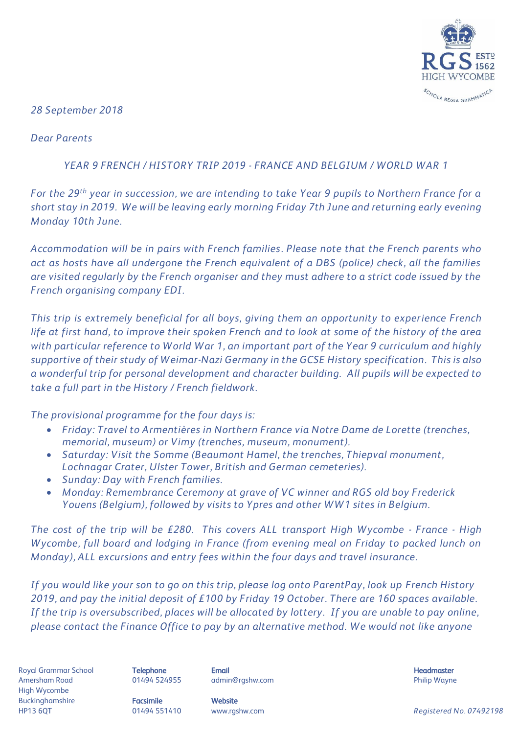

*28 September 2018*

*Dear Parents*

## *YEAR 9 FRENCH / HISTORY TRIP 2019 - FRANCE AND BELGIUM / WORLD WAR 1*

*For the 29th year in succession, we are intending to take Year 9 pupils to Northern France for a short stay in 2019. We will be leaving early morning Friday 7th June and returning early evening Monday 10th June.* 

*Accommodation will be in pairs with French families. Please note that the French parents who act as hosts have all undergone the French equivalent of a DBS (police) check, all the families are visited regularly by the French organiser and they must adhere to a strict code issued by the French organising company EDI.* 

*This trip is extremely beneficial for all boys, giving them an opportunity to experience French life at first hand, to improve their spoken French and to look at some of the history of the area with particular reference to World War 1, an important part of the Year 9 curriculum and highly supportive of their study of Weimar-Nazi Germany in the GCSE History specification. This is also a wonderful trip for personal development and character building. All pupils will be expected to take a full part in the History / French fieldwork.* 

*The provisional programme for the four days is:*

- *Friday: Travel to Armentières in Northern France via Notre Dame de Lorette (trenches, memorial, museum) or Vimy (trenches, museum, monument).*
- *Saturday: Visit the Somme (Beaumont Hamel, the trenches, Thiepval monument, Lochnagar Crater, Ulster Tower, British and German cemeteries).*
- *Sunday: Day with French families.*
- *Monday: Remembrance Ceremony at grave of VC winner and RGS old boy Frederick Youens (Belgium), followed by visits to Ypres and other WW1 sites in Belgium.*

*The cost of the trip will be £280. This covers ALL transport High Wycombe - France - High Wycombe, full board and lodging in France (from evening meal on Friday to packed lunch on Monday), ALL excursions and entry fees within the four days and travel insurance.* 

*If you would like your son to go on this trip, please log onto ParentPay, look up French History 2019, and pay the initial deposit of £100 by Friday 19 October. There are 160 spaces available. If the trip is oversubscribed, places will be allocated by lottery. If you are unable to pay online, please contact the Finance Office to pay by an alternative method. We would not like anyone* 

Royal Grammar School **Telephone Email Headmaster Email Headmaster Headmaster Headmaster** Amersham Road **8. Mart 201494 524955** admin@rgshw.com **COVID Philip Wayne** Philip Wayne High Wycombe Buckinghamshire **Facsimile Facsimile** Website

HP13 6QT 01494 551410 www.rgshw.com *Registered No. 07492198*